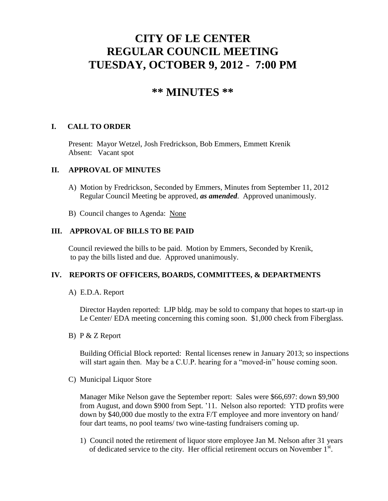# **CITY OF LE CENTER REGULAR COUNCIL MEETING TUESDAY, OCTOBER 9, 2012 - 7:00 PM**

# **\*\* MINUTES \*\***

# **I. CALL TO ORDER**

Present: Mayor Wetzel, Josh Fredrickson, Bob Emmers, Emmett Krenik Absent: Vacant spot

#### **II. APPROVAL OF MINUTES**

- A) Motion by Fredrickson, Seconded by Emmers, Minutes from September 11, 2012 Regular Council Meeting be approved, *as amended*. Approved unanimously.
- B) Council changes to Agenda: None

## **III. APPROVAL OF BILLS TO BE PAID**

Council reviewed the bills to be paid. Motion by Emmers, Seconded by Krenik, to pay the bills listed and due. Approved unanimously.

## **IV. REPORTS OF OFFICERS, BOARDS, COMMITTEES, & DEPARTMENTS**

A) E.D.A. Report

 Director Hayden reported: LJP bldg. may be sold to company that hopes to start-up in Le Center/ EDA meeting concerning this coming soon. \$1,000 check from Fiberglass.

B) P & Z Report

 Building Official Block reported: Rental licenses renew in January 2013; so inspections will start again then. May be a C.U.P. hearing for a "moved-in" house coming soon.

C) Municipal Liquor Store

Manager Mike Nelson gave the September report: Sales were \$66,697: down \$9,900 from August, and down \$900 from Sept. '11. Nelson also reported: YTD profits were down by \$40,000 due mostly to the extra F/T employee and more inventory on hand/ four dart teams, no pool teams/ two wine-tasting fundraisers coming up.

1) Council noted the retirement of liquor store employee Jan M. Nelson after 31 years of dedicated service to the city. Her official retirement occurs on November 1<sup>st</sup>.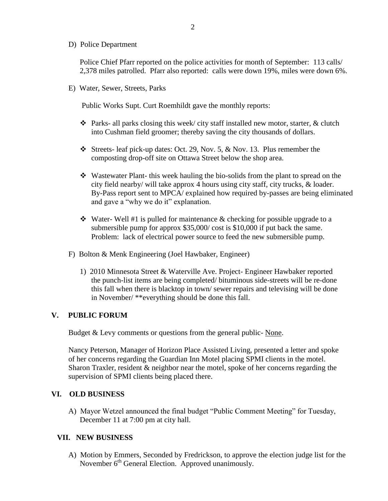D) Police Department

Police Chief Pfarr reported on the police activities for month of September: 113 calls/ 2,378 miles patrolled. Pfarr also reported: calls were down 19%, miles were down 6%.

E) Water, Sewer, Streets, Parks

Public Works Supt. Curt Roemhildt gave the monthly reports:

- $\hat{\mathbf{v}}$  Parks- all parks closing this week/ city staff installed new motor, starter, & clutch into Cushman field groomer; thereby saving the city thousands of dollars.
- Streets- leaf pick-up dates: Oct. 29, Nov. 5, & Nov. 13. Plus remember the composting drop-off site on Ottawa Street below the shop area.
- Wastewater Plant- this week hauling the bio-solids from the plant to spread on the city field nearby/ will take approx 4 hours using city staff, city trucks, & loader. By-Pass report sent to MPCA/ explained how required by-passes are being eliminated and gave a "why we do it" explanation.
- $\cdot$  Water-Well #1 is pulled for maintenance & checking for possible upgrade to a submersible pump for approx \$35,000/ cost is \$10,000 if put back the same. Problem: lack of electrical power source to feed the new submersible pump.
- F) Bolton & Menk Engineering (Joel Hawbaker, Engineer)
	- 1) 2010 Minnesota Street & Waterville Ave. Project- Engineer Hawbaker reported the punch-list items are being completed/ bituminous side-streets will be re-done this fall when there is blacktop in town/ sewer repairs and televising will be done in November/ \*\*everything should be done this fall.

## **V. PUBLIC FORUM**

Budget & Levy comments or questions from the general public- None.

 Nancy Peterson, Manager of Horizon Place Assisted Living, presented a letter and spoke of her concerns regarding the Guardian Inn Motel placing SPMI clients in the motel. Sharon Traxler, resident & neighbor near the motel, spoke of her concerns regarding the supervision of SPMI clients being placed there.

## **VI. OLD BUSINESS**

A) Mayor Wetzel announced the final budget "Public Comment Meeting" for Tuesday, December 11 at 7:00 pm at city hall.

#### **VII. NEW BUSINESS**

 A) Motion by Emmers, Seconded by Fredrickson, to approve the election judge list for the November 6<sup>th</sup> General Election. Approved unanimously.